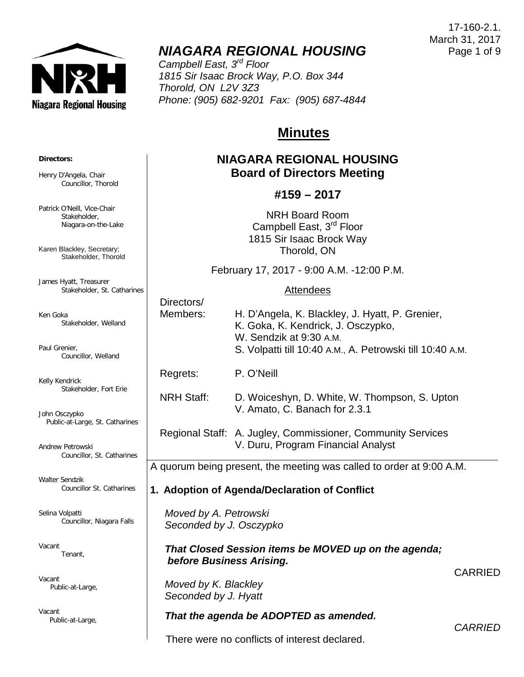

# *NIAGARA REGIONAL HOUSING*

*Campbell East, 3rd Floor 1815 Sir Isaac Brock Way, P.O. Box 344 Thorold, ON L2V 3Z3 Phone: (905) 682-9201 Fax: (905) 687-4844*

# **Minutes**

# **NIAGARA REGIONAL HOUSING Board of Directors Meeting**

# **#159 – 2017**

NRH Board Room Campbell East, 3<sup>rd</sup> Floor 1815 Sir Isaac Brock Way Thorold, ON

February 17, 2017 - 9:00 A.M. -12:00 P.M.

#### **Attendees**

|                                                                                  | Directors/<br>Members:                           | H. D'Angela, K. Blackley, J. Hyatt, P. Grenier,<br>K. Goka, K. Kendrick, J. Osczypko,<br>W. Sendzik at 9:30 A.M.<br>S. Volpatti till 10:40 A.M., A. Petrowski till 10:40 A.M. |                |  |
|----------------------------------------------------------------------------------|--------------------------------------------------|-------------------------------------------------------------------------------------------------------------------------------------------------------------------------------|----------------|--|
|                                                                                  | Regrets:                                         | P. O'Neill                                                                                                                                                                    |                |  |
|                                                                                  | <b>NRH Staff:</b>                                | D. Woiceshyn, D. White, W. Thompson, S. Upton<br>V. Amato, C. Banach for 2.3.1                                                                                                |                |  |
|                                                                                  |                                                  | Regional Staff: A. Jugley, Commissioner, Community Services<br>V. Duru, Program Financial Analyst                                                                             |                |  |
|                                                                                  |                                                  | A quorum being present, the meeting was called to order at 9:00 A.M.                                                                                                          |                |  |
| 1. Adoption of Agenda/Declaration of Conflict                                    |                                                  |                                                                                                                                                                               |                |  |
|                                                                                  | Moved by A. Petrowski<br>Seconded by J. Osczypko |                                                                                                                                                                               |                |  |
| That Closed Session items be MOVED up on the agenda;<br>before Business Arising. |                                                  |                                                                                                                                                                               |                |  |
|                                                                                  | Moved by K. Blackley<br>Seconded by J. Hyatt     |                                                                                                                                                                               | <b>CARRIED</b> |  |
|                                                                                  |                                                  |                                                                                                                                                                               |                |  |

# *That the agenda be ADOPTED as amended.*

There were no conflicts of interest declared.

17-160-2.1. March 31, 2017 Page 1 of 9

*CARRIED*

**Directors:**

Henry D'Angela, Chair Councillor, Thorold

Patrick O'Neill, Vice-Chair Stakeholder, Niagara-on-the-Lake

Karen Blackley, Secretary; Stakeholder, Thorold

James Hyatt, Treasurer Stakeholder, St. Catharines

Ken Goka Stakeholder, Welland

Paul Grenier, Councillor, Welland

Kelly Kendrick Stakeholder, Fort Erie

John Osczypko Public-at-Large, St. Catharines

Andrew Petrowski Councillor, St. Catharines

Walter Sendzik Councillor St. Catharines

Selina Volpatti Councillor, Niagara Falls

Vacant Tenant,

Vacant Public-at-Large,

Vacant Public-at-Large,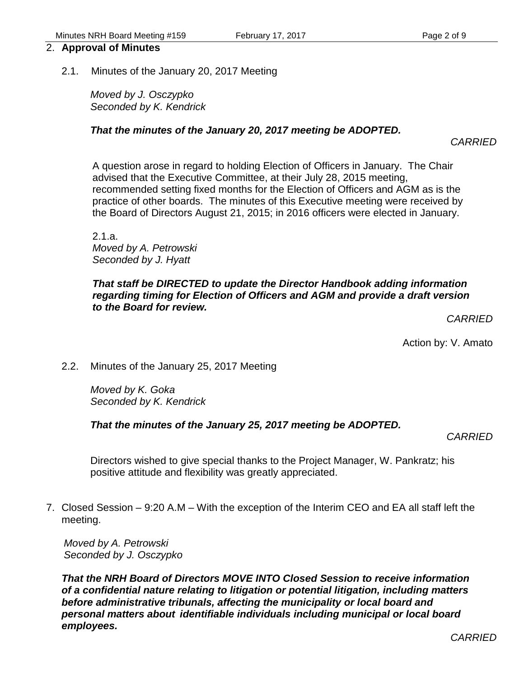# 2. **Approval of Minutes**

2.1. Minutes of the January 20, 2017 Meeting

*Moved by J. Osczypko Seconded by K. Kendrick*

### *That the minutes of the January 20, 2017 meeting be ADOPTED.*

A question arose in regard to holding Election of Officers in January. The Chair advised that the Executive Committee, at their July 28, 2015 meeting,

recommended setting fixed months for the Election of Officers and AGM as is the practice of other boards. The minutes of this Executive meeting were received by the Board of Directors August 21, 2015; in 2016 officers were elected in January.

2.1.a. *Moved by A. Petrowski Seconded by J. Hyatt*

### *That staff be DIRECTED to update the Director Handbook adding information regarding timing for Election of Officers and AGM and provide a draft version to the Board for review.*

*CARRIED*

*CARRIED*

Action by: V. Amato

2.2. Minutes of the January 25, 2017 Meeting

*Moved by K. Goka Seconded by K. Kendrick*

### *That the minutes of the January 25, 2017 meeting be ADOPTED.*

*CARRIED*

Directors wished to give special thanks to the Project Manager, W. Pankratz; his positive attitude and flexibility was greatly appreciated.

7. Closed Session – 9:20 A.M – With the exception of the Interim CEO and EA all staff left the meeting.

*Moved by A. Petrowski Seconded by J. Osczypko*

*That the NRH Board of Directors MOVE INTO Closed Session to receive information of a confidential nature relating to litigation or potential litigation, including matters before administrative tribunals, affecting the municipality or local board and personal matters about identifiable individuals including municipal or local board employees.*

*CARRIED*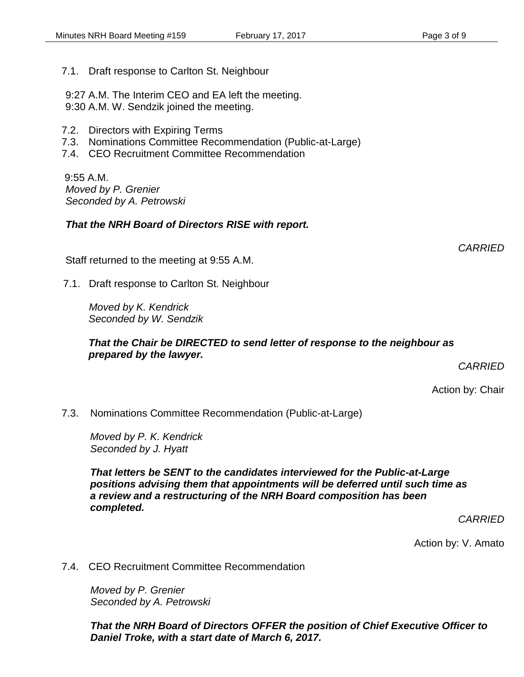7.1. Draft response to Carlton St. Neighbour

9:27 A.M. The Interim CEO and EA left the meeting. 9:30 A.M. W. Sendzik joined the meeting.

- 7.2. Directors with Expiring Terms
- 7.3. Nominations Committee Recommendation (Public-at-Large)
- 7.4. CEO Recruitment Committee Recommendation

9:55 A.M. *Moved by P. Grenier Seconded by A. Petrowski*

#### *That the NRH Board of Directors RISE with report.*

*CARRIED*

Staff returned to the meeting at 9:55 A.M.

7.1. Draft response to Carlton St. Neighbour

*Moved by K. Kendrick Seconded by W. Sendzik*

#### *That the Chair be DIRECTED to send letter of response to the neighbour as prepared by the lawyer.*

*CARRIED*

Action by: Chair

7.3. Nominations Committee Recommendation (Public-at-Large)

*Moved by P. K. Kendrick Seconded by J. Hyatt*

*That letters be SENT to the candidates interviewed for the Public-at-Large positions advising them that appointments will be deferred until such time as a review and a restructuring of the NRH Board composition has been completed.*

*CARRIED*

Action by: V. Amato

7.4. CEO Recruitment Committee Recommendation

*Moved by P. Grenier Seconded by A. Petrowski*

*That the NRH Board of Directors OFFER the position of Chief Executive Officer to Daniel Troke, with a start date of March 6, 2017.*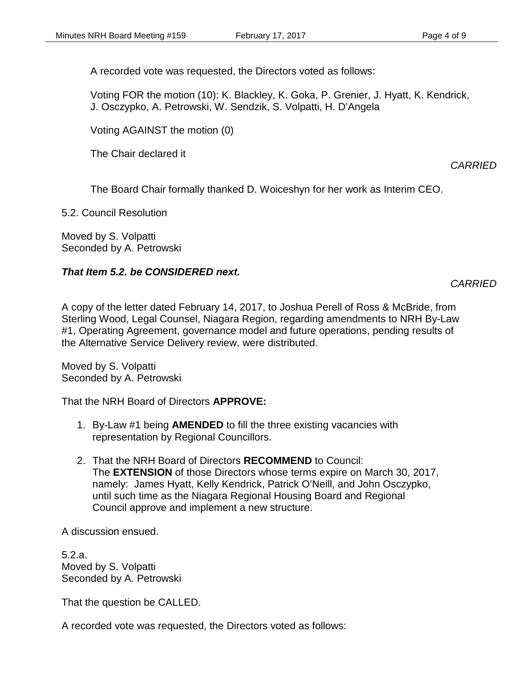A recorded vote was requested, the Directors voted as follows:

Voting FOR the motion (10): K. Blackley, K. Goka, P. Grenier, J. Hyatt, K. Kendrick, J. Osczypko, A. Petrowski, W. Sendzik, S. Volpatti, H. D'Angela

Voting AGAINST the motion (0)

The Chair declared it

*CARRIED*

The Board Chair formally thanked D. Woiceshyn for her work as Interim CEO.

5.2. Council Resolution

Moved by S. Volpatti Seconded by A. Petrowski

# *That Item 5.2. be CONSIDERED next.*

# *CARRIED*

A copy of the letter dated February 14, 2017, to Joshua Perell of Ross & McBride, from Sterling Wood, Legal Counsel, Niagara Region, regarding amendments to NRH By-Law #1, Operating Agreement, governance model and future operations, pending results of the Alternative Service Delivery review, were distributed.

Moved by S. Volpatti Seconded by A. Petrowski

That the NRH Board of Directors **APPROVE:**

- 1. By-Law #1 being **AMENDED** to fill the three existing vacancies with representation by Regional Councillors.
- 2. That the NRH Board of Directors **RECOMMEND** to Council: The **EXTENSION** of those Directors whose terms expire on March 30, 2017, namely: James Hyatt, Kelly Kendrick, Patrick O'Neill, and John Osczypko, until such time as the Niagara Regional Housing Board and Regional Council approve and implement a new structure.

A discussion ensued.

5.2.a. Moved by S. Volpatti Seconded by A. Petrowski

That the question be CALLED.

A recorded vote was requested, the Directors voted as follows: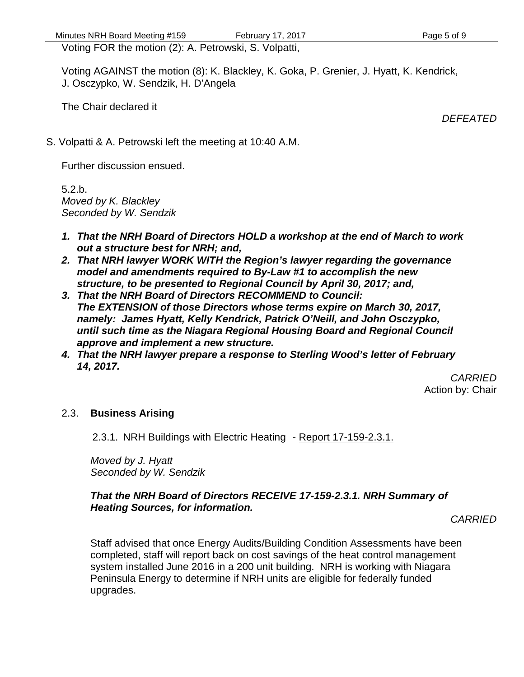Voting FOR the motion (2): A. Petrowski, S. Volpatti,

Voting AGAINST the motion (8): K. Blackley, K. Goka, P. Grenier, J. Hyatt, K. Kendrick, J. Osczypko, W. Sendzik, H. D'Angela

The Chair declared it

*DEFEATED*

S. Volpatti & A. Petrowski left the meeting at 10:40 A.M.

Further discussion ensued.

5.2.b. *Moved by K. Blackley Seconded by W. Sendzik*

- *1. That the NRH Board of Directors HOLD a workshop at the end of March to work out a structure best for NRH; and,*
- *2. That NRH lawyer WORK WITH the Region's lawyer regarding the governance model and amendments required to By-Law #1 to accomplish the new structure, to be presented to Regional Council by April 30, 2017; and,*
- *3. That the NRH Board of Directors RECOMMEND to Council: The EXTENSION of those Directors whose terms expire on March 30, 2017, namely: James Hyatt, Kelly Kendrick, Patrick O'Neill, and John Osczypko, until such time as the Niagara Regional Housing Board and Regional Council approve and implement a new structure.*
- *4. That the NRH lawyer prepare a response to Sterling Wood's letter of February 14, 2017.*

*CARRIED* Action by: Chair

# 2.3. **Business Arising**

2.3.1. NRH Buildings with Electric Heating - Report 17-159-2.3.1.

*Moved by J. Hyatt Seconded by W. Sendzik*

# *That the NRH Board of Directors RECEIVE 17-159-2.3.1. NRH Summary of Heating Sources, for information.*

*CARRIED*

Staff advised that once Energy Audits/Building Condition Assessments have been completed, staff will report back on cost savings of the heat control management system installed June 2016 in a 200 unit building. NRH is working with Niagara Peninsula Energy to determine if NRH units are eligible for federally funded upgrades.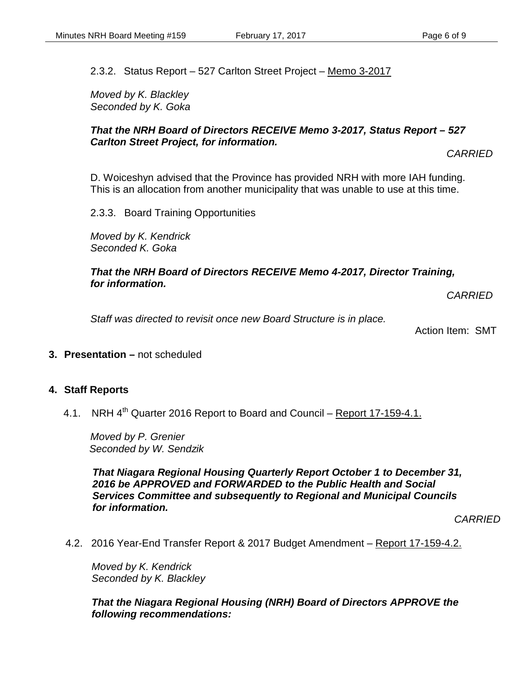2.3.2. Status Report – 527 Carlton Street Project – Memo 3-2017

*Moved by K. Blackley Seconded by K. Goka*

#### *That the NRH Board of Directors RECEIVE Memo 3-2017, Status Report – 527 Carlton Street Project, for information.*

*CARRIED*

D. Woiceshyn advised that the Province has provided NRH with more IAH funding. This is an allocation from another municipality that was unable to use at this time.

2.3.3. Board Training Opportunities

*Moved by K. Kendrick Seconded K. Goka*

#### *That the NRH Board of Directors RECEIVE Memo 4-2017, Director Training, for information.*

*CARRIED*

*Staff was directed to revisit once new Board Structure is in place.*

Action Item: SMT

**3. Presentation –** not scheduled

### **4. Staff Reports**

4.1. NRH 4<sup>th</sup> Quarter 2016 Report to Board and Council – Report 17-159-4.1.

*Moved by P. Grenier Seconded by W. Sendzik*

*That Niagara Regional Housing Quarterly Report October 1 to December 31, 2016 be APPROVED and FORWARDED to the Public Health and Social Services Committee and subsequently to Regional and Municipal Councils for information.*

*CARRIED*

4.2. 2016 Year-End Transfer Report & 2017 Budget Amendment - Report 17-159-4.2.

*Moved by K. Kendrick Seconded by K. Blackley*

*That the Niagara Regional Housing (NRH) Board of Directors APPROVE the following recommendations:*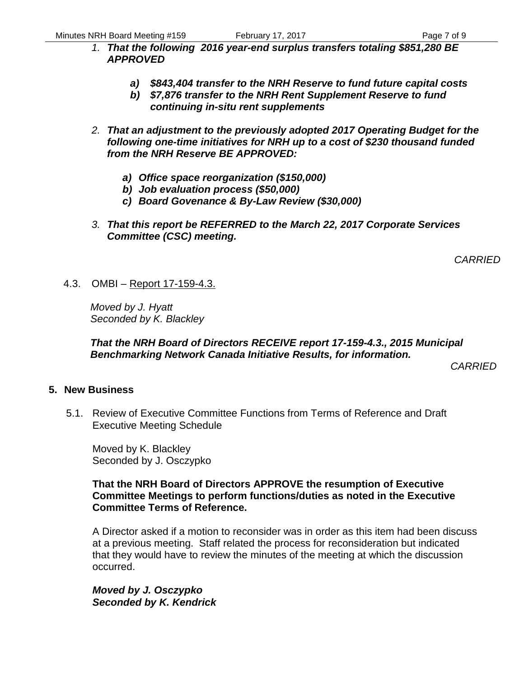- *1. That the following 2016 year-end surplus transfers totaling \$851,280 BE APPROVED*
	- *a) \$843,404 transfer to the NRH Reserve to fund future capital costs*
	- *b) \$7,876 transfer to the NRH Rent Supplement Reserve to fund continuing in-situ rent supplements*
- *2. That an adjustment to the previously adopted 2017 Operating Budget for the following one-time initiatives for NRH up to a cost of \$230 thousand funded from the NRH Reserve BE APPROVED:*
	- *a) Office space reorganization (\$150,000)*
	- *b) Job evaluation process (\$50,000)*
	- *c) Board Govenance & By-Law Review (\$30,000)*
- *3. That this report be REFERRED to the March 22, 2017 Corporate Services Committee (CSC) meeting.*

*CARRIED*

4.3. OMBI – Report 17-159-4.3.

*Moved by J. Hyatt Seconded by K. Blackley*

### *That the NRH Board of Directors RECEIVE report 17-159-4.3., 2015 Municipal Benchmarking Network Canada Initiative Results, for information.*

*CARRIED*

# **5. New Business**

5.1. Review of Executive Committee Functions from Terms of Reference and Draft Executive Meeting Schedule

Moved by K. Blackley Seconded by J. Osczypko

#### **That the NRH Board of Directors APPROVE the resumption of Executive Committee Meetings to perform functions/duties as noted in the Executive Committee Terms of Reference.**

A Director asked if a motion to reconsider was in order as this item had been discuss at a previous meeting. Staff related the process for reconsideration but indicated that they would have to review the minutes of the meeting at which the discussion occurred.

*Moved by J. Osczypko Seconded by K. Kendrick*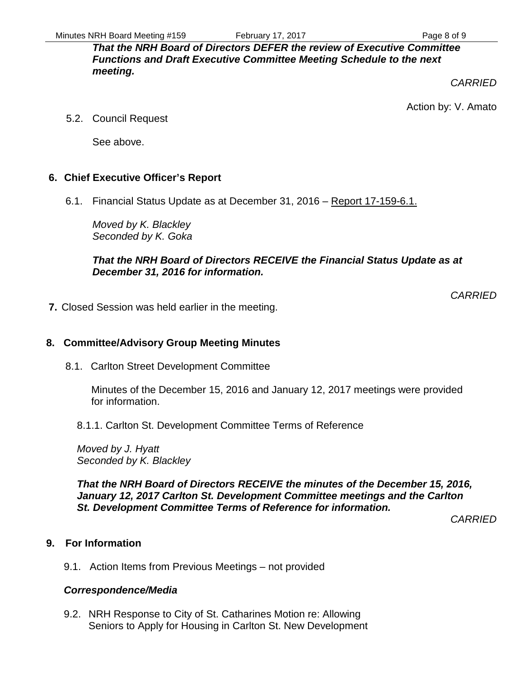*That the NRH Board of Directors DEFER the review of Executive Committee Functions and Draft Executive Committee Meeting Schedule to the next meeting.* 

*CARRIED*

Action by: V. Amato

5.2. Council Request

See above.

# **6. Chief Executive Officer's Report**

6.1. Financial Status Update as at December 31, 2016 – Report 17-159-6.1.

*Moved by K. Blackley Seconded by K. Goka*

*That the NRH Board of Directors RECEIVE the Financial Status Update as at December 31, 2016 for information.* 

*CARRIED*

**7.** Closed Session was held earlier in the meeting.

# **8. Committee/Advisory Group Meeting Minutes**

8.1. Carlton Street Development Committee

Minutes of the December 15, 2016 and January 12, 2017 meetings were provided for information.

8.1.1. Carlton St. Development Committee Terms of Reference

*Moved by J. Hyatt Seconded by K. Blackley*

*That the NRH Board of Directors RECEIVE the minutes of the December 15, 2016, January 12, 2017 Carlton St. Development Committee meetings and the Carlton St. Development Committee Terms of Reference for information.*

*CARRIED*

# **9. For Information**

9.1. Action Items from Previous Meetings – not provided

# *Correspondence/Media*

9.2. NRH Response to City of St. Catharines Motion re: Allowing Seniors to Apply for Housing in Carlton St. New Development